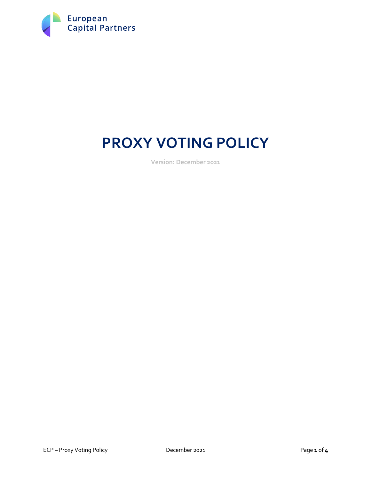

# **PROXY VOTING POLICY**

**Version: December 2021**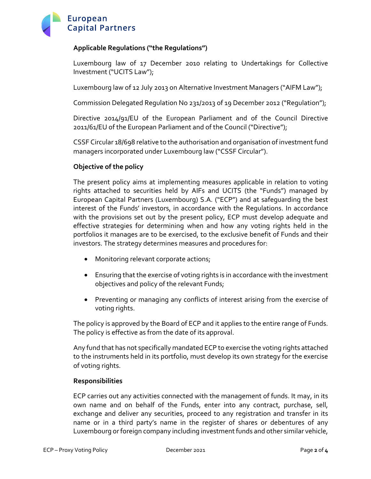

# **Applicable Regulations ("the Regulations")**

Luxembourg law of 17 December 2010 relating to Undertakings for Collective Investment ("UCITS Law");

Luxembourg law of 12 July 2013 on Alternative Investment Managers ("AIFM Law");

Commission Delegated Regulation No 231/2013 of 19 December 2012 ("Regulation");

Directive 2014/91/EU of the European Parliament and of the Council Directive 2011/61/EU of the European Parliament and of the Council ("Directive");

CSSF Circular 18/698 relative to the authorisation and organisation of investment fund managers incorporated under Luxembourg law ("CSSF Circular").

## **Objective of the policy**

The present policy aims at implementing measures applicable in relation to voting rights attached to securities held by AIFs and UCITS (the "Funds") managed by European Capital Partners (Luxembourg) S.A. ("ECP") and at safeguarding the best interest of the Funds' investors, in accordance with the Regulations. In accordance with the provisions set out by the present policy, ECP must develop adequate and effective strategies for determining when and how any voting rights held in the portfolios it manages are to be exercised, to the exclusive benefit of Funds and their investors. The strategy determines measures and procedures for:

- Monitoring relevant corporate actions;
- Ensuring that the exercise of voting rights is in accordance with the investment objectives and policy of the relevant Funds;
- Preventing or managing any conflicts of interest arising from the exercise of voting rights.

The policy is approved by the Board of ECP and it applies to the entire range of Funds. The policy is effective as from the date of its approval.

Any fund that has not specifically mandated ECP to exercise the voting rights attached to the instruments held in its portfolio, must develop its own strategy for the exercise of voting rights.

#### **Responsibilities**

ECP carries out any activities connected with the management of funds. It may, in its own name and on behalf of the Funds, enter into any contract, purchase, sell, exchange and deliver any securities, proceed to any registration and transfer in its name or in a third party's name in the register of shares or debentures of any Luxembourg or foreign company including investment funds and other similar vehicle,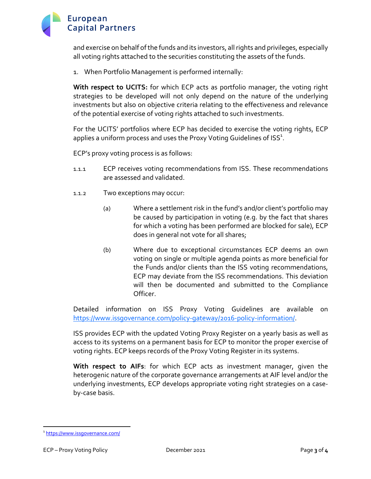

and exercise on behalf of the funds and its investors, all rights and privileges, especially all voting rights attached to the securities constituting the assets of the funds.

1. When Portfolio Management is performed internally:

**With respect to UCITS:** for which ECP acts as portfolio manager, the voting right strategies to be developed will not only depend on the nature of the underlying investments but also on objective criteria relating to the effectiveness and relevance of the potential exercise of voting rights attached to such investments.

For the UCITS' portfolios where ECP has decided to exercise the voting rights, ECP applies a uniform process and uses the Proxy Voting Guidelines of ISS $^{\rm 1}$ .

ECP's proxy voting process is as follows:

- 1.1.1 ECP receives voting recommendations from ISS. These recommendations are assessed and validated.
- 1.1.2 Two exceptions may occur:
	- (a) Where a settlement risk in the fund's and/or client's portfolio may be caused by participation in voting (e.g. by the fact that shares for which a voting has been performed are blocked for sale), ECP does in general not vote for all shares;
	- (b) Where due to exceptional circumstances ECP deems an own voting on single or multiple agenda points as more beneficial for the Funds and/or clients than the ISS voting recommendations, ECP may deviate from the ISS recommendations. This deviation will then be documented and submitted to the Compliance Officer.

Detailed information on ISS Proxy Voting Guidelines are available on https://www.issgovernance.com/policy-gateway/2016-policy-information/.

ISS provides ECP with the updated Voting Proxy Register on a yearly basis as well as access to its systems on a permanent basis for ECP to monitor the proper exercise of voting rights. ECP keeps records of the Proxy Voting Register in its systems.

**With respect to AIFs**: for which ECP acts as investment manager, given the heterogenic nature of the corporate governance arrangements at AIF level and/or the underlying investments, ECP develops appropriate voting right strategies on a caseby-case basis.

<sup>1</sup> https://www.issgovernance.com/